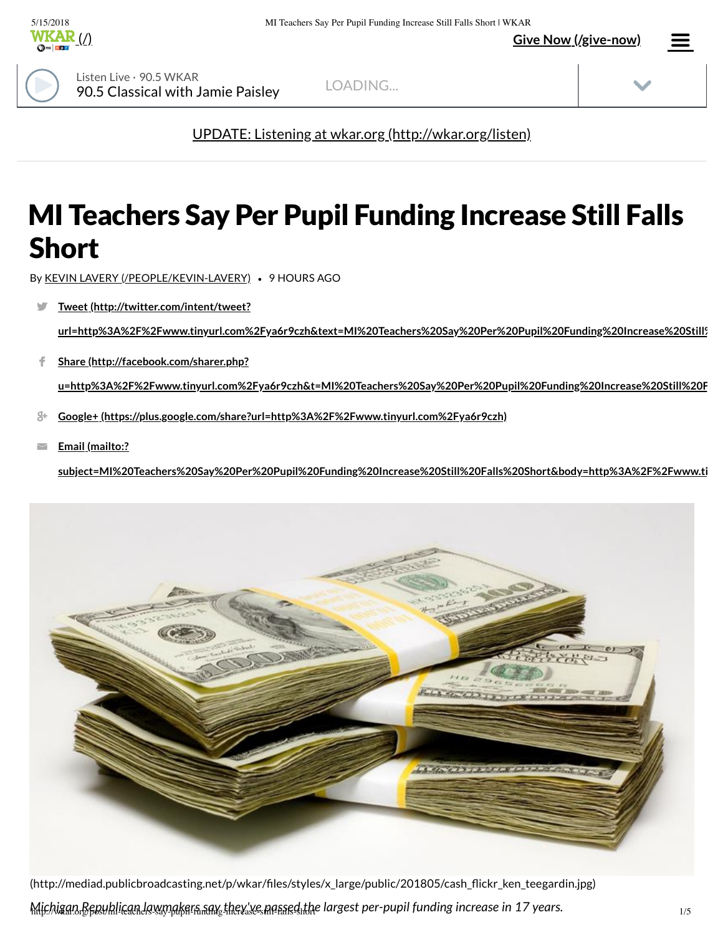

[\(/\)](http://wkar.org/) **Give Now [\(/give-now\)](http://wkar.org/give-now)**

90.5 Classical with Jamie Paisley Listen Live · 90.5 WKAR

LOADING...

UPDATE: Listening at wkar.org [\(http://wkar.org/listen\)](http://wkar.org/listen)

## MI Teachers Say Per Pupil Funding Increase Still Falls Short

By KEVIN LAVERY [\(/PEOPLE/KEVIN-LAVERY\)](http://wkar.org/people/kevin-lavery) *•* 9 HOURS AGO

**Tweet (http://twitter.com/intent/tweet?**  $\bullet$ 

**[url=http%3A%2F%2Fwww.tinyurl.com%2Fya6r9czh&text=MI%20Teachers%20Say%20Per%20Pupil%20Funding%20Increase%20Still%](http://twitter.com/intent/tweet?url=http%3A%2F%2Fwww.tinyurl.com%2Fya6r9czh&text=MI%20Teachers%20Say%20Per%20Pupil%20Funding%20Increase%20Still%20Falls%20Short)**

**Share (http://facebook.com/sharer.php?** f

**[u=http%3A%2F%2Fwww.tinyurl.com%2Fya6r9czh&t=MI%20Teachers%20Say%20Per%20Pupil%20Funding%20Increase%20Still%20F](http://facebook.com/sharer.php?u=http%3A%2F%2Fwww.tinyurl.com%2Fya6r9czh&t=MI%20Teachers%20Say%20Per%20Pupil%20Funding%20Increase%20Still%20Falls%20Short)**

**Google+ [\(https://plus.google.com/share?url=http%3A%2F%2Fwww.tinyurl.com%2Fya6r9czh\)](https://plus.google.com/share?url=http%3A%2F%2Fwww.tinyurl.com%2Fya6r9czh)**

**Email (mailto:?**  $\overline{\phantom{0}}$ 

**[subject=MI%20Teachers%20Say%20Per%20Pupil%20Funding%20Increase%20Still%20Falls%20Short&body=http%3A%2F%2Fwww.ti](mailto:?subject=MI%20Teachers%20Say%20Per%20Pupil%20Funding%20Increase%20Still%20Falls%20Short&body=http%3A%2F%2Fwww.tinyurl.com%2Fya6r9czh)**



Michigan Bepublican lawmakers say they've passed the largest per-pupil funding increase in 17 years.<br>http://www.bear.com/standard.com/standard/standard.com/standard/standard/1/5/1/5/1/5/1/1/5/1/5/1/5/1/5/1/5/1/5 (http://mediad.publicbroadcasting.net/p/wkar/files/styles/x\_large/public/201805/cash\_flickr\_ken\_teegardin.jpg)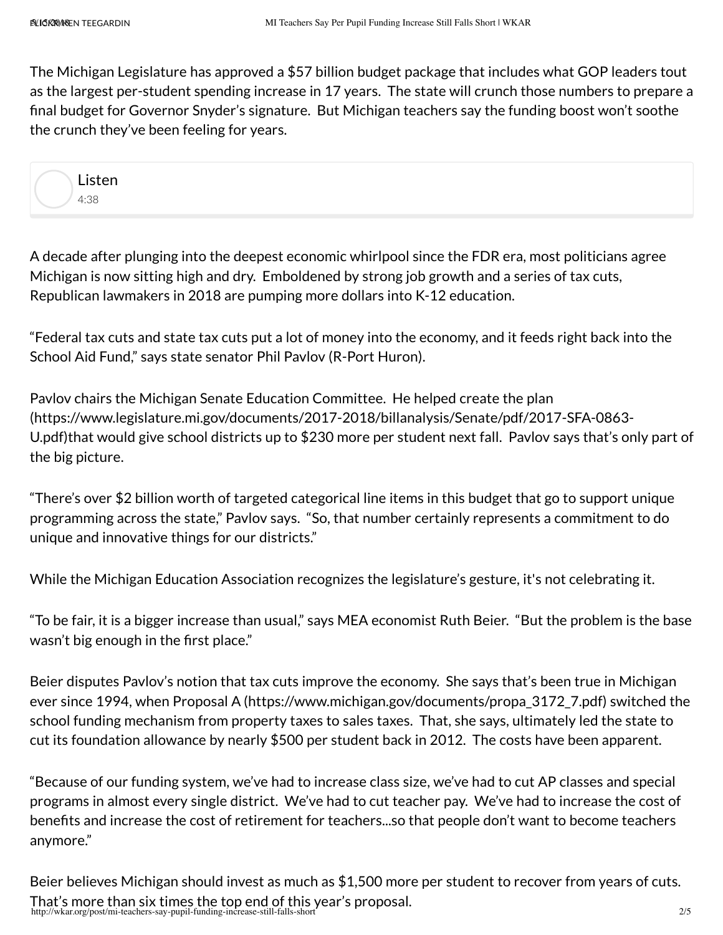The Michigan Legislature has approved a \$57 billion budget package that includes what GOP leaders tout as the largest per-student spending increase in 17 years. The state will crunch those numbers to prepare a nal budget for Governor Snyder's signature. But Michigan teachers say the funding boost won't soothe the crunch they've been feeling for years.

4:38 Listen

A decade after plunging into the deepest economic whirlpool since the FDR era, most politicians agree Michigan is now sitting high and dry. Emboldened by strong job growth and a series of tax cuts, Republican lawmakers in 2018 are pumping more dollars into K-12 education.

"Federal tax cuts and state tax cuts put a lot of money into the economy, and it feeds right back into the School Aid Fund," says state senator Phil Pavlov (R-Port Huron).

Pavlov chairs the Michigan Senate Education Committee. He helped create the plan [\(https://www.legislature.mi.gov/documents/2017-2018/billanalysis/Senate/pdf/2017-SFA-0863-](https://www.legislature.mi.gov/documents/2017-2018/billanalysis/Senate/pdf/2017-SFA-0863-U.pdf) U.pdf)that would give school districts up to \$230 more per student next fall. Pavlov says that's only part of the big picture.

"There's over \$2 billion worth of targeted categorical line items in this budget that go to support unique programming across the state," Pavlov says. "So, that number certainly represents a commitment to do unique and innovative things for our districts."

While the Michigan Education Association recognizes the legislature's gesture, it's not celebrating it.

"To be fair, it is a bigger increase than usual," says MEA economist Ruth Beier. "But the problem is the base wasn't big enough in the first place."

Beier disputes Pavlov's notion that tax cuts improve the economy. She says that's been true in Michigan ever since 1994, when Proposal A [\(https://www.michigan.gov/documents/propa\\_3172\\_7.pdf\)](https://www.michigan.gov/documents/propa_3172_7.pdf) switched the school funding mechanism from property taxes to sales taxes. That, she says, ultimately led the state to cut its foundation allowance by nearly \$500 per student back in 2012. The costs have been apparent.

"Because of our funding system, we've had to increase class size, we've had to cut AP classes and special programs in almost every single district. We've had to cut teacher pay. We've had to increase the cost of benefits and increase the cost of retirement for teachers...so that people don't want to become teachers anymore."

http://wkar.org/post/mi-teachers-say-pupil-funding-increase-still-falls-short 2/5 Beier believes Michigan should invest as much as \$1,500 more per student to recover from years of cuts. That's more than six times the top end of this year's proposal.